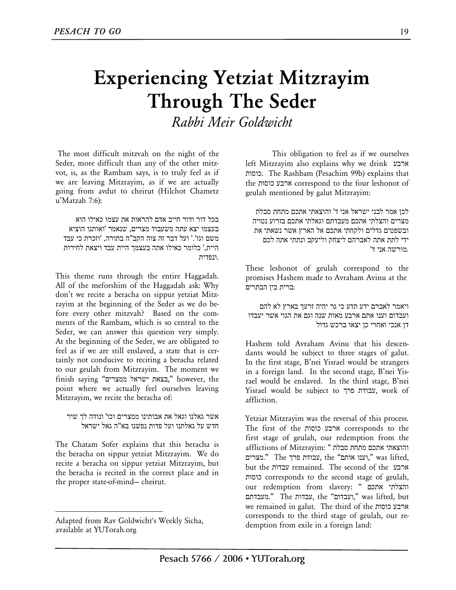## **Experiencing Yetziat Mitzrayim Through The Seder**

*Rabbi Meir Goldwicht* 

The most difficult mitzvah on the night of the Seder, more difficult than any of the other mitzvot, is, as the Rambam says, is to truly feel as if we are leaving Mitzrayim, as if we are actually going from avdut to cheirut (Hilchot Chametz u'Matzah 7:6):

בכל דור ודור חייב אדם להראות את עצמו כאילו הוא בעצמו יצא עתה משעבוד מצרים, שנאמר 'ואותנו הוציא משם וגו'.' ועל דבר זה צוה הקב"ה בתורה, 'וזכרת כי עבד היית,' כלומר כאילו אתה בעצמך היית עבד ויצאת לחירות .ונפדית

This theme runs through the entire Haggadah. All of the meforshim of the Haggadah ask: Why don't we recite a beracha on sippur yetziat Mitzrayim at the beginning of the Seder as we do before every other mitzvah? Based on the comments of the Rambam, which is so central to the Seder, we can answer this question very simply. At the beginning of the Seder, we are obligated to feel as if we are still enslaved, a state that is certainly not conducive to reciting a beracha related to our geulah from Mitzrayim. The moment we finish saying "ממצרים ישראל בצאת, "however, the point where we actually feel ourselves leaving Mitzrayim, we recite the beracha of:

אשר גאלנו וגאל את אבותינו ממצרים וכו' ונודה לך שיר חדש על גאלתנו ועל פדות נפשנו בא"ה גאל ישראל

The Chatam Sofer explains that this beracha is the beracha on sippur yetziat Mitzrayim. We do recite a beracha on sippur yetziat Mitzrayim, but the beracha is recited in the correct place and in the proper state-of-mind— cheirut.

 $\overline{a}$ 

This obligation to feel as if we ourselves left Mitzrayim also explains why we drink ארבע כוסות. The Rashbam (Pesachim 99b) explains that the כוסות ארבע correspond to the four leshonot of geulah mentioned by galut Mitzrayim:

לכן אמר לבני ישראל אני ד' והוצאתי אתכם מתחת סבלת מצרים והצלתי אתכם מעבדתם וגאלתי אתכם בזרוע נטויה ובשפטים גדלים ולקחתי אתכם אל הארץ אשר נשאתי את ידי לתת אתה לאברהם ליצחק וליעקב ונתתי אתה לכם .מורשה אני ד'

These leshonot of geulah correspond to the promises Hashem made to Avraham Avinu at the :ברית בין הבתרים

ויאמר לאברם ידע תדע כי גר יהיה זרעך בארץ לא להם ועבדום וענו אתם ארבע מאות שנה וגם את הגוי אשר יעבדו דן אנכי ואחרי כן יצאו ברכש גדול

Hashem told Avraham Avinu that his descendants would be subject to three stages of galut. In the first stage, B'nei Yisrael would be strangers in a foreign land. In the second stage, B'nei Yisrael would be enslaved. In the third stage, B'nei Yisrael would be subject to פרך עבודת, work of affliction.

Yetziat Mitzrayim was the reversal of this process. The first of the כוסות ארבע corresponds to the first stage of geulah, our redemption from the והוצאתי אתכם מתחת סבלת " :Mitzrayim of afflictions וענו אותם" fhe יעבודת פרך, the ",וענו אותם". " .מצרים  $\cdot$ " . but the עבדות remained. The second of the ארבע כוסות corresponds to the second stage of geulah, our redemption from slavery: " אתכם והצלתי מעבדתם. "The עבדות, the "ועבדום, "was lifted, but we remained in galut. The third of the כוסות ארבע corresponds to the third stage of geulah, our redemption from exile in a foreign land:

Adapted from Rav Goldwicht's Weekly Sicha, available at YUTorah.org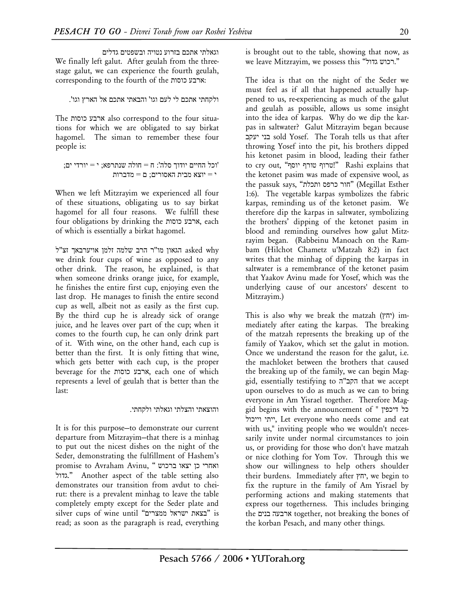וגאלתי אתכם בזרוע נטויה ובשפטים גדלים We finally left galut. After geulah from the threestage galut, we can experience the fourth geulah, corresponding to the fourth of the כוסות ארבע:

## ולקחתי אתכם לי לעם וגו' והבאתי אתכם אל הארץ וגו'.

The כוסות ארבע also correspond to the four situations for which we are obligated to say birkat hagomel. The siman to remember these four people is:

```
'וכל החיים יודוך סלה': ח = חולה שנתרפא; י = יורדי ים;
    י שיוצא מבית האסורים; ה=יוצא מבית
```
When we left Mitzrayim we experienced all four of these situations, obligating us to say birkat hagomel for all four reasons. We fulfill these four obligations by drinking the כוסות ארבע, each of which is essentially a birkat hagomel.

 why asked הגאון מו"ר הרב שלמה זלמן אויערבאך זצ"ל we drink four cups of wine as opposed to any other drink. The reason, he explained, is that when someone drinks orange juice, for example, he finishes the entire first cup, enjoying even the last drop. He manages to finish the entire second cup as well, albeit not as easily as the first cup. By the third cup he is already sick of orange juice, and he leaves over part of the cup; when it comes to the fourth cup, he can only drink part of it. With wine, on the other hand, each cup is better than the first. It is only fitting that wine, which gets better with each cup, is the proper beverage for the כוסות ארבע, each one of which represents a level of geulah that is better than the last:

## והוצאתי והצלתי וגאלתי ולקחתי.

It is for this purpose—to demonstrate our current departure from Mitzrayim—that there is a minhag to put out the nicest dishes on the night of the Seder, demonstrating the fulfillment of Hashem's ואחרי כן יצאו ברכוש " , promise to Avraham Avinu גדול. "Another aspect of the table setting also demonstrates our transition from avdut to cheirut: there is a prevalent minhag to leave the table completely empty except for the Seder plate and silver cups of wine until "ממצרים ישראל ממצרים read; as soon as the paragraph is read, everything

is brought out to the table, showing that now, as we leave Mitzrayim, we possess this "רכוש גדול."

The idea is that on the night of the Seder we must feel as if all that happened actually happened to us, re-experiencing as much of the galut and geulah as possible, allows us some insight into the idea of karpas. Why do we dip the karpas in saltwater? Galut Mitzrayim began because יעקב בני sold Yosef. The Torah tells us that after throwing Yosef into the pit, his brothers dipped his ketonet pasim in blood, leading their father to cry out, "יוסף טורף טרוף "!Rashi explains that the ketonet pasim was made of expensive wool, as the passuk says, "הור כרפס ותכלת" (Megillat Esther 1:6). The vegetable karpas symbolizes the fabric karpas, reminding us of the ketonet pasim. We therefore dip the karpas in saltwater, symbolizing the brothers' dipping of the ketonet pasim in blood and reminding ourselves how galut Mitzrayim began. (Rabbeinu Manoach on the Rambam (Hilchot Chametz u'Matzah 8:2) in fact writes that the minhag of dipping the karpas in saltwater is a remembrance of the ketonet pasim that Yaakov Avinu made for Yosef, which was the underlying cause of our ancestors' descent to Mitzrayim.)

This is also why we break the matzah ( $\eta$ , immediately after eating the karpas. The breaking of the matzah represents the breaking up of the family of Yaakov, which set the galut in motion. Once we understand the reason for the galut, i.e. the machloket between the brothers that caused the breaking up of the family, we can begin Maggid, essentially testifying to ה"הקב that we accept upon ourselves to do as much as we can to bring everyone in Am Yisrael together. Therefore Maggid begins with the announcement of " דיכפין כל ייתי וייכול, Let everyone who needs come and eat with us," inviting people who we wouldn't necessarily invite under normal circumstances to join us, or providing for those who don't have matzah or nice clothing for Yom Tov. Through this we show our willingness to help others shoulder their burdens. Immediately after יחץ, we begin to fix the rupture in the family of Am Yisrael by performing actions and making statements that express our togetherness. This includes bringing the בנים ארבעה together, not breaking the bones of the korban Pesach, and many other things.